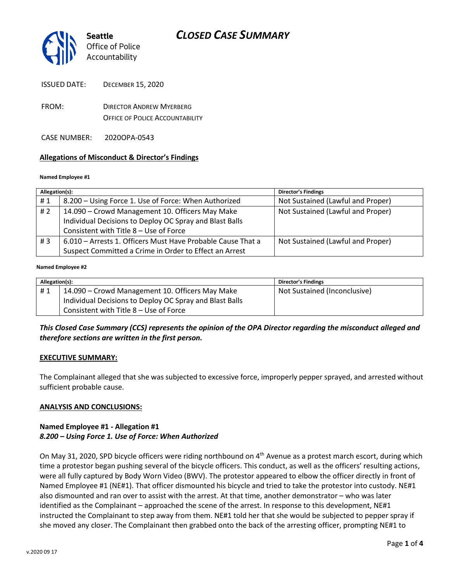

- FROM: DIRECTOR ANDREW MYERBERG OFFICE OF POLICE ACCOUNTABILITY
- CASE NUMBER: 2020OPA-0543

#### **Allegations of Misconduct & Director's Findings**

#### **Named Employee #1**

| Allegation(s): |                                                             | <b>Director's Findings</b>        |
|----------------|-------------------------------------------------------------|-----------------------------------|
| #1             | 8.200 - Using Force 1. Use of Force: When Authorized        | Not Sustained (Lawful and Proper) |
| # $2$          | 14.090 - Crowd Management 10. Officers May Make             | Not Sustained (Lawful and Proper) |
|                | Individual Decisions to Deploy OC Spray and Blast Balls     |                                   |
|                | Consistent with Title 8 - Use of Force                      |                                   |
| #3             | 6.010 – Arrests 1. Officers Must Have Probable Cause That a | Not Sustained (Lawful and Proper) |
|                | Suspect Committed a Crime in Order to Effect an Arrest      |                                   |

#### Ι **Named Employee #2**

| Allegation(s): |                                                         | <b>Director's Findings</b>   |
|----------------|---------------------------------------------------------|------------------------------|
| #1             | 14.090 – Crowd Management 10. Officers May Make         | Not Sustained (Inconclusive) |
|                | Individual Decisions to Deploy OC Spray and Blast Balls |                              |
|                | Consistent with Title 8 - Use of Force                  |                              |

#### *This Closed Case Summary (CCS) represents the opinion of the OPA Director regarding the misconduct alleged and therefore sections are written in the first person.*

#### **EXECUTIVE SUMMARY:**

The Complainant alleged that she was subjected to excessive force, improperly pepper sprayed, and arrested without sufficient probable cause.

#### **ANALYSIS AND CONCLUSIONS:**

#### **Named Employee #1 - Allegation #1** *8.200 – Using Force 1. Use of Force: When Authorized*

On May 31, 2020, SPD bicycle officers were riding northbound on  $4<sup>th</sup>$  Avenue as a protest march escort, during which time a protestor began pushing several of the bicycle officers. This conduct, as well as the officers' resulting actions, were all fully captured by Body Worn Video (BWV). The protestor appeared to elbow the officer directly in front of Named Employee #1 (NE#1). That officer dismounted his bicycle and tried to take the protestor into custody. NE#1 also dismounted and ran over to assist with the arrest. At that time, another demonstrator – who was later identified as the Complainant – approached the scene of the arrest. In response to this development, NE#1 instructed the Complainant to step away from them. NE#1 told her that she would be subjected to pepper spray if she moved any closer. The Complainant then grabbed onto the back of the arresting officer, prompting NE#1 to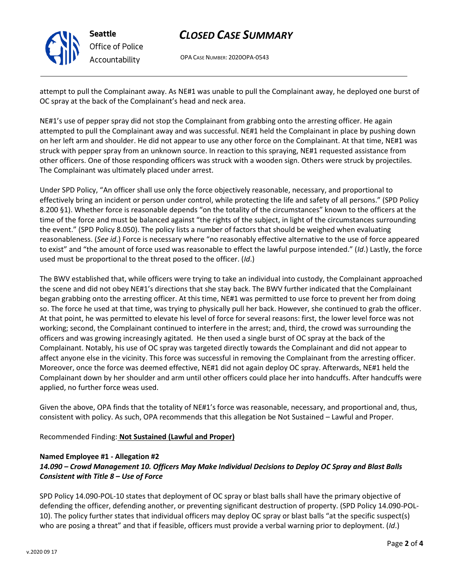# *CLOSED CASE SUMMARY*

OPA CASE NUMBER: 2020OPA-0543

attempt to pull the Complainant away. As NE#1 was unable to pull the Complainant away, he deployed one burst of OC spray at the back of the Complainant's head and neck area.

NE#1's use of pepper spray did not stop the Complainant from grabbing onto the arresting officer. He again attempted to pull the Complainant away and was successful. NE#1 held the Complainant in place by pushing down on her left arm and shoulder. He did not appear to use any other force on the Complainant. At that time, NE#1 was struck with pepper spray from an unknown source. In reaction to this spraying, NE#1 requested assistance from other officers. One of those responding officers was struck with a wooden sign. Others were struck by projectiles. The Complainant was ultimately placed under arrest.

Under SPD Policy, "An officer shall use only the force objectively reasonable, necessary, and proportional to effectively bring an incident or person under control, while protecting the life and safety of all persons." (SPD Policy 8.200 §1). Whether force is reasonable depends "on the totality of the circumstances" known to the officers at the time of the force and must be balanced against "the rights of the subject, in light of the circumstances surrounding the event." (SPD Policy 8.050). The policy lists a number of factors that should be weighed when evaluating reasonableness. (*See id*.) Force is necessary where "no reasonably effective alternative to the use of force appeared to exist" and "the amount of force used was reasonable to effect the lawful purpose intended." (*Id*.) Lastly, the force used must be proportional to the threat posed to the officer. (*Id*.)

The BWV established that, while officers were trying to take an individual into custody, the Complainant approached the scene and did not obey NE#1's directions that she stay back. The BWV further indicated that the Complainant began grabbing onto the arresting officer. At this time, NE#1 was permitted to use force to prevent her from doing so. The force he used at that time, was trying to physically pull her back. However, she continued to grab the officer. At that point, he was permitted to elevate his level of force for several reasons: first, the lower level force was not working; second, the Complainant continued to interfere in the arrest; and, third, the crowd was surrounding the officers and was growing increasingly agitated. He then used a single burst of OC spray at the back of the Complainant. Notably, his use of OC spray was targeted directly towards the Complainant and did not appear to affect anyone else in the vicinity. This force was successful in removing the Complainant from the arresting officer. Moreover, once the force was deemed effective, NE#1 did not again deploy OC spray. Afterwards, NE#1 held the Complainant down by her shoulder and arm until other officers could place her into handcuffs. After handcuffs were applied, no further force weas used.

Given the above, OPA finds that the totality of NE#1's force was reasonable, necessary, and proportional and, thus, consistent with policy. As such, OPA recommends that this allegation be Not Sustained – Lawful and Proper.

## Recommended Finding: **Not Sustained (Lawful and Proper)**

#### **Named Employee #1 - Allegation #2** *14.090 – Crowd Management 10. Officers May Make Individual Decisions to Deploy OC Spray and Blast Balls Consistent with Title 8 – Use of Force*

SPD Policy 14.090-POL-10 states that deployment of OC spray or blast balls shall have the primary objective of defending the officer, defending another, or preventing significant destruction of property. (SPD Policy 14.090-POL-10). The policy further states that individual officers may deploy OC spray or blast balls "at the specific suspect(s) who are posing a threat" and that if feasible, officers must provide a verbal warning prior to deployment. (*Id*.)



**Seattle** *Office of Police Accountability*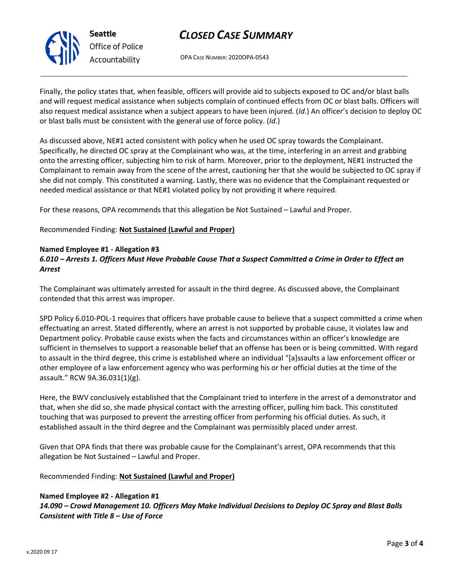

# *CLOSED CASE SUMMARY*

OPA CASE NUMBER: 2020OPA-0543

Finally, the policy states that, when feasible, officers will provide aid to subjects exposed to OC and/or blast balls and will request medical assistance when subjects complain of continued effects from OC or blast balls. Officers will also request medical assistance when a subject appears to have been injured. (*Id*.) An officer's decision to deploy OC or blast balls must be consistent with the general use of force policy. (*Id*.)

As discussed above, NE#1 acted consistent with policy when he used OC spray towards the Complainant. Specifically, he directed OC spray at the Complainant who was, at the time, interfering in an arrest and grabbing onto the arresting officer, subjecting him to risk of harm. Moreover, prior to the deployment, NE#1 instructed the Complainant to remain away from the scene of the arrest, cautioning her that she would be subjected to OC spray if she did not comply. This constituted a warning. Lastly, there was no evidence that the Complainant requested or needed medical assistance or that NE#1 violated policy by not providing it where required.

For these reasons, OPA recommends that this allegation be Not Sustained – Lawful and Proper.

Recommended Finding: **Not Sustained (Lawful and Proper)**

## **Named Employee #1 - Allegation #3**

## *6.010 – Arrests 1. Officers Must Have Probable Cause That a Suspect Committed a Crime in Order to Effect an Arrest*

The Complainant was ultimately arrested for assault in the third degree. As discussed above, the Complainant contended that this arrest was improper.

SPD Policy 6.010-POL-1 requires that officers have probable cause to believe that a suspect committed a crime when effectuating an arrest. Stated differently, where an arrest is not supported by probable cause, it violates law and Department policy. Probable cause exists when the facts and circumstances within an officer's knowledge are sufficient in themselves to support a reasonable belief that an offense has been or is being committed. With regard to assault in the third degree, this crime is established where an individual "[a]ssaults a law enforcement officer or other employee of a law enforcement agency who was performing his or her official duties at the time of the assault." RCW 9A.36.031(1)(g).

Here, the BWV conclusively established that the Complainant tried to interfere in the arrest of a demonstrator and that, when she did so, she made physical contact with the arresting officer, pulling him back. This constituted touching that was purposed to prevent the arresting officer from performing his official duties. As such, it established assault in the third degree and the Complainant was permissibly placed under arrest.

Given that OPA finds that there was probable cause for the Complainant's arrest, OPA recommends that this allegation be Not Sustained – Lawful and Proper.

Recommended Finding: **Not Sustained (Lawful and Proper)**

## **Named Employee #2 - Allegation #1**

*14.090 – Crowd Management 10. Officers May Make Individual Decisions to Deploy OC Spray and Blast Balls Consistent with Title 8 – Use of Force*